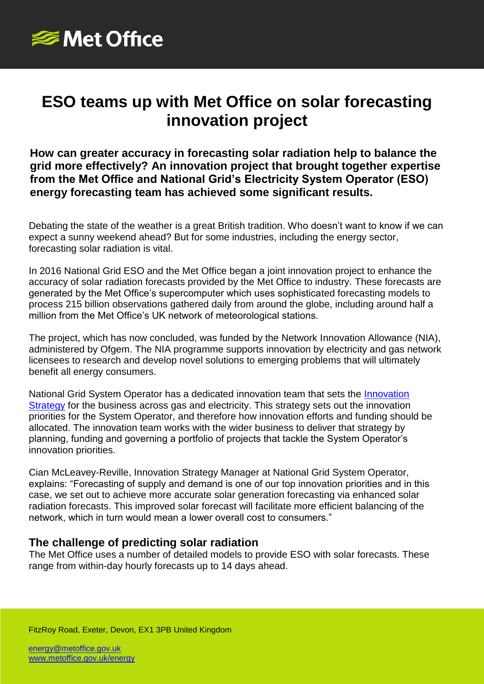

# **ESO teams up with Met Office on solar forecasting innovation project**

**How can greater accuracy in forecasting solar radiation help to balance the grid more effectively? An innovation project that brought together expertise from the Met Office and National Grid's Electricity System Operator (ESO) energy forecasting team has achieved some significant results.**

Debating the state of the weather is a great British tradition. Who doesn't want to know if we can expect a sunny weekend ahead? But for some industries, including the energy sector, forecasting solar radiation is vital.

In 2016 National Grid ESO and the Met Office began a joint innovation project to enhance the accuracy of solar radiation forecasts provided by the Met Office to industry. These forecasts are generated by the Met Office's supercomputer which uses sophisticated forecasting models to process 215 billion observations gathered daily from around the globe, including around half a million from the Met Office's UK network of meteorological stations.

The project, which has now concluded, was funded by the Network Innovation Allowance (NIA), administered by Ofgem. The NIA programme supports innovation by electricity and gas network licensees to research and develop novel solutions to emerging problems that will ultimately benefit all energy consumers.

National Grid System Operator has a dedicated innovation team that sets the [Innovation](https://www.nationalgrideso.com/innovation/strategy)  [Strategy](https://www.nationalgrideso.com/innovation/strategy) for the business across gas and electricity. This strategy sets out the innovation priorities for the System Operator, and therefore how innovation efforts and funding should be allocated. The innovation team works with the wider business to deliver that strategy by planning, funding and governing a portfolio of projects that tackle the System Operator's innovation priorities.

Cian McLeavey-Reville, Innovation Strategy Manager at National Grid System Operator, explains: "Forecasting of supply and demand is one of our top innovation priorities and in this case, we set out to achieve more accurate solar generation forecasting via enhanced solar radiation forecasts. This improved solar forecast will facilitate more efficient balancing of the network, which in turn would mean a lower overall cost to consumers."

## **The challenge of predicting solar radiation**

The Met Office uses a number of detailed models to provide ESO with solar forecasts. These range from within-day hourly forecasts up to 14 days ahead.

FitzRoy Road, Exeter, Devon, EX1 3PB United Kingdom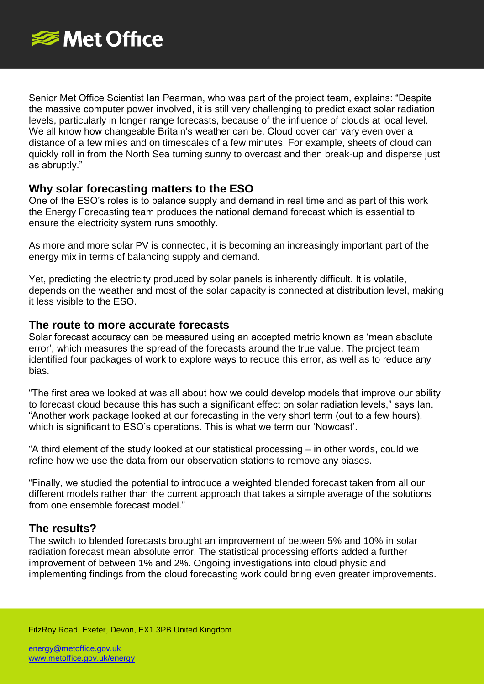

Senior Met Office Scientist Ian Pearman, who was part of the project team, explains: "Despite the massive computer power involved, it is still very challenging to predict exact solar radiation levels, particularly in longer range forecasts, because of the influence of clouds at local level. We all know how changeable Britain's weather can be. Cloud cover can vary even over a distance of a few miles and on timescales of a few minutes. For example, sheets of cloud can quickly roll in from the North Sea turning sunny to overcast and then break-up and disperse just as abruptly."

## **Why solar forecasting matters to the ESO**

One of the ESO's roles is to balance supply and demand in real time and as part of this work the Energy Forecasting team produces the national demand forecast which is essential to ensure the electricity system runs smoothly.

As more and more solar PV is connected, it is becoming an increasingly important part of the energy mix in terms of balancing supply and demand.

Yet, predicting the electricity produced by solar panels is inherently difficult. It is volatile, depends on the weather and most of the solar capacity is connected at distribution level, making it less visible to the ESO.

#### **The route to more accurate forecasts**

Solar forecast accuracy can be measured using an accepted metric known as 'mean absolute error', which measures the spread of the forecasts around the true value. The project team identified four packages of work to explore ways to reduce this error, as well as to reduce any bias.

"The first area we looked at was all about how we could develop models that improve our ability to forecast cloud because this has such a significant effect on solar radiation levels," says Ian. "Another work package looked at our forecasting in the very short term (out to a few hours), which is significant to ESO's operations. This is what we term our 'Nowcast'.

"A third element of the study looked at our statistical processing – in other words, could we refine how we use the data from our observation stations to remove any biases.

"Finally, we studied the potential to introduce a weighted blended forecast taken from all our different models rather than the current approach that takes a simple average of the solutions from one ensemble forecast model."

## **The results?**

The switch to blended forecasts brought an improvement of between 5% and 10% in solar radiation forecast mean absolute error. The statistical processing efforts added a further improvement of between 1% and 2%. Ongoing investigations into cloud physic and implementing findings from the cloud forecasting work could bring even greater improvements.

FitzRoy Road, Exeter, Devon, EX1 3PB United Kingdom